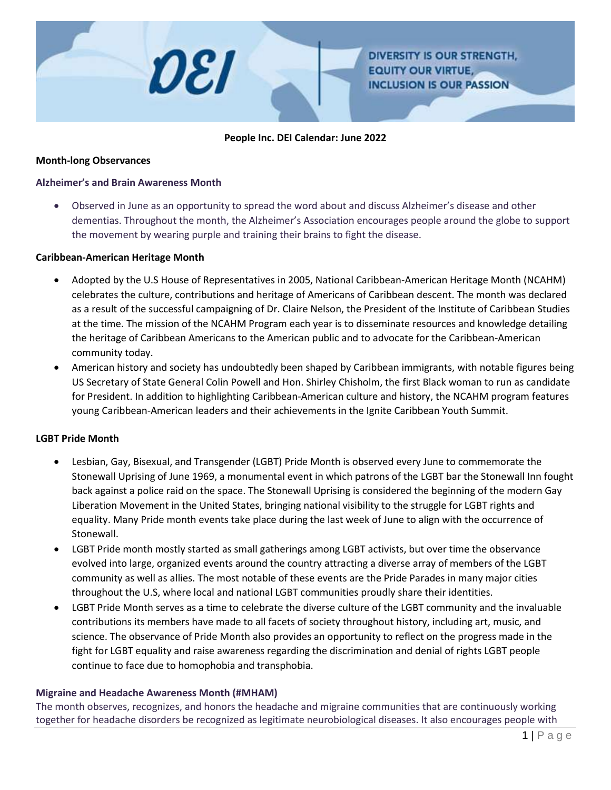

#### **People Inc. DEI Calendar: June 2022**

#### **Month-long Observances**

#### **Alzheimer's and Brain Awareness Month**

 Observed in June as an opportunity to spread the word about and discuss Alzheimer's disease and other dementias. Throughout the month, the Alzheimer's Association encourages people around the globe to support the movement by wearing purple and training their brains to fight the disease.

#### **Caribbean-American Heritage Month**

- Adopted by the U.S House of Representatives in 2005, National Caribbean-American Heritage Month (NCAHM) celebrates the culture, contributions and heritage of Americans of Caribbean descent. The month was declared as a result of the successful campaigning of Dr. Claire Nelson, the President of the Institute of Caribbean Studies at the time. The mission of the NCAHM Program each year is to disseminate resources and knowledge detailing the heritage of Caribbean Americans to the American public and to advocate for the Caribbean-American community today.
- American history and society has undoubtedly been shaped by Caribbean immigrants, with notable figures being US Secretary of State General Colin Powell and Hon. Shirley Chisholm, the first Black woman to run as candidate for President. In addition to highlighting Caribbean-American culture and history, the NCAHM program features young Caribbean-American leaders and their achievements in the Ignite Caribbean Youth Summit.

#### **LGBT Pride Month**

- Lesbian, Gay, Bisexual, and Transgender (LGBT) Pride Month is observed every June to commemorate the Stonewall Uprising of June 1969, a monumental event in which patrons of the LGBT bar the Stonewall Inn fought back against a police raid on the space. The Stonewall Uprising is considered the beginning of the modern Gay Liberation Movement in the United States, bringing national visibility to the struggle for LGBT rights and equality. Many Pride month events take place during the last week of June to align with the occurrence of Stonewall.
- LGBT Pride month mostly started as small gatherings among LGBT activists, but over time the observance evolved into large, organized events around the country attracting a diverse array of members of the LGBT community as well as allies. The most notable of these events are the Pride Parades in many major cities throughout the U.S, where local and national LGBT communities proudly share their identities.
- LGBT Pride Month serves as a time to celebrate the diverse culture of the LGBT community and the invaluable contributions its members have made to all facets of society throughout history, including art, music, and science. The observance of Pride Month also provides an opportunity to reflect on the progress made in the fight for LGBT equality and raise awareness regarding the discrimination and denial of rights LGBT people continue to face due to homophobia and transphobia.

#### **Migraine and Headache Awareness Month (#MHAM)**

The month observes, recognizes, and honors the headache and migraine communities that are continuously working together for headache disorders be recognized as legitimate neurobiological diseases. It also encourages people with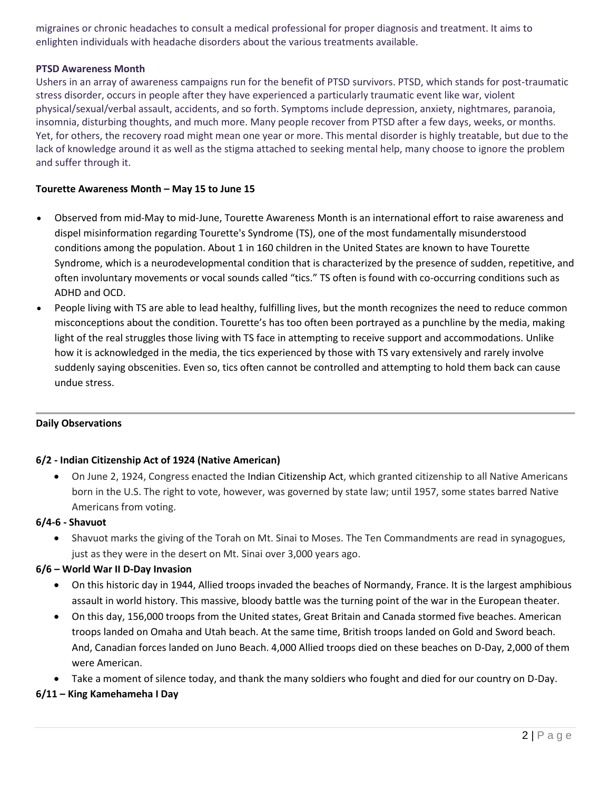migraines or chronic headaches to consult a medical professional for proper diagnosis and treatment. It aims to enlighten individuals with headache disorders about the various treatments available.

### **PTSD Awareness Month**

Ushers in an array of awareness campaigns run for the benefit of PTSD survivors. PTSD, which stands for post-traumatic stress disorder, occurs in people after they have experienced a particularly traumatic event like war, violent physical/sexual/verbal assault, accidents, and so forth. Symptoms include depression, anxiety, nightmares, paranoia, insomnia, disturbing thoughts, and much more. Many people recover from PTSD after a few days, weeks, or months. Yet, for others, the recovery road might mean one year or more. This mental disorder is highly treatable, but due to the lack of knowledge around it as well as the stigma attached to seeking mental help, many choose to ignore the problem and suffer through it.

# **Tourette Awareness Month – May 15 to June 15**

- Observed from mid-May to mid-June, Tourette Awareness Month is an international effort to raise awareness and dispel misinformation regarding Tourette's Syndrome (TS), one of the most fundamentally misunderstood conditions among the population. About 1 in 160 children in the United States are known to have Tourette Syndrome, which is a neurodevelopmental condition that is characterized by the presence of sudden, repetitive, and often involuntary movements or vocal sounds called "tics." TS often is found with co-occurring conditions such as ADHD and OCD.
- People living with TS are able to lead healthy, fulfilling lives, but the month recognizes the need to reduce common misconceptions about the condition. Tourette's has too often been portrayed as a punchline by the media, making light of the real struggles those living with TS face in attempting to receive support and accommodations. Unlike how it is acknowledged in the media, the tics experienced by those with TS vary extensively and rarely involve suddenly saying obscenities. Even so, tics often cannot be controlled and attempting to hold them back can cause undue stress.

### **Daily Observations**

### **6/2 - Indian Citizenship Act of 1924 (Native American)**

 On June 2, 1924, Congress enacted the [Indian Citizenship Act,](https://catalog.archives.gov/id/299828) which granted citizenship to all Native Americans born in the U.S. The right to vote, however, was governed by state law; until 1957, some states barred Native Americans from voting.

### **6/4-6 - Shavuot**

 Shavuot marks the giving of the Torah on Mt. Sinai to Moses. The Ten Commandments are read in synagogues, just as they were in the desert on Mt. Sinai over 3,000 years ago.

### **6/6 – World War II D-Day Invasion**

- On this historic day in 1944, Allied troops invaded the beaches of Normandy, France. It is the largest amphibious assault in world history. This massive, bloody battle was the turning point of the war in the European theater.
- On this day, 156,000 troops from the United states, Great Britain and Canada stormed five beaches. American troops landed on Omaha and Utah beach. At the same time, British troops landed on Gold and Sword beach. And, Canadian forces landed on Juno Beach. 4,000 Allied troops died on these beaches on D-Day, 2,000 of them were American.
- Take a moment of silence today, and thank the many soldiers who fought and died for our country on D-Day.

### **6/11 – King Kamehameha I Day**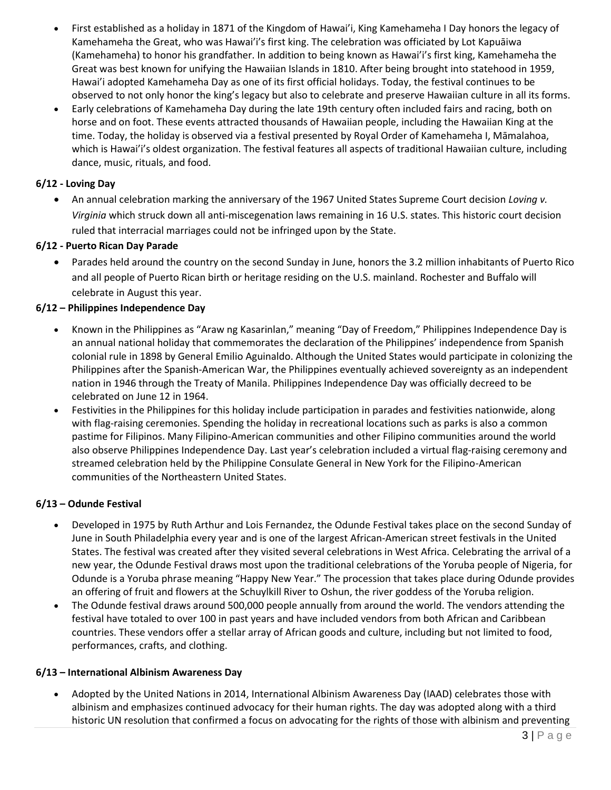- First established as a holiday in 1871 of the Kingdom of Hawai'i, King Kamehameha I Day honors the legacy of Kamehameha the Great, who was Hawai'i's first king. The celebration was officiated by Lot Kapuāiwa (Kamehameha) to honor his grandfather. In addition to being known as Hawai'i's first king, Kamehameha the Great was best known for unifying the Hawaiian Islands in 1810. After being brought into statehood in 1959, Hawai'i adopted Kamehameha Day as one of its first official holidays. Today, the festival continues to be observed to not only honor the king's legacy but also to celebrate and preserve Hawaiian culture in all its forms.
- Early celebrations of Kamehameha Day during the late 19th century often included fairs and racing, both on horse and on foot. These events attracted thousands of Hawaiian people, including the Hawaiian King at the time. Today, the holiday is observed via a festival presented by Royal Order of Kamehameha I, Māmalahoa, which is Hawai'i's oldest organization. The festival features all aspects of traditional Hawaiian culture, including dance, music, rituals, and food.

# **6/12 - Loving Day**

 An annual celebration marking the anniversary of the 1967 United States Supreme Court decision *Loving v. Virginia* which struck down all anti-miscegenation laws remaining in 16 U.S. states. This historic court decision ruled that interracial marriages could not be infringed upon by the State.

# **6/12 - Puerto Rican Day Parade**

 Parades held around the country on the second Sunday in June, honors the 3.2 million inhabitants of Puerto Rico and all people of Puerto Rican birth or heritage residing on the U.S. mainland. Rochester and Buffalo will celebrate in August this year.

# **6/12 – Philippines Independence Day**

- Known in the Philippines as "Araw ng Kasarinlan," meaning "Day of Freedom," Philippines Independence Day is an annual national holiday that commemorates the declaration of the Philippines' independence from Spanish colonial rule in 1898 by General Emilio Aguinaldo. Although the United States would participate in colonizing the Philippines after the Spanish-American War, the Philippines eventually achieved sovereignty as an independent nation in 1946 through the Treaty of Manila. Philippines Independence Day was officially decreed to be celebrated on June 12 in 1964.
- Festivities in the Philippines for this holiday include participation in parades and festivities nationwide, along with flag-raising ceremonies. Spending the holiday in recreational locations such as parks is also a common pastime for Filipinos. Many Filipino-American communities and other Filipino communities around the world also observe Philippines Independence Day. Last year's celebration included a virtual flag-raising ceremony and streamed celebration held by the Philippine Consulate General in New York for the Filipino-American communities of the Northeastern United States.

### **6/13 – Odunde Festival**

- Developed in 1975 by Ruth Arthur and Lois Fernandez, the Odunde Festival takes place on the second Sunday of June in South Philadelphia every year and is one of the largest African-American street festivals in the United States. The festival was created after they visited several celebrations in West Africa. Celebrating the arrival of a new year, the Odunde Festival draws most upon the traditional celebrations of the Yoruba people of Nigeria, for Odunde is a Yoruba phrase meaning "Happy New Year." The procession that takes place during Odunde provides an offering of fruit and flowers at the Schuylkill River to Oshun, the river goddess of the Yoruba religion.
- The Odunde festival draws around 500,000 people annually from around the world. The vendors attending the festival have totaled to over 100 in past years and have included vendors from both African and Caribbean countries. These vendors offer a stellar array of African goods and culture, including but not limited to food, performances, crafts, and clothing.

### **6/13 – International Albinism Awareness Day**

 Adopted by the United Nations in 2014, International Albinism Awareness Day (IAAD) celebrates those with albinism and emphasizes continued advocacy for their human rights. The day was adopted along with a third historic UN resolution that confirmed a focus on advocating for the rights of those with albinism and preventing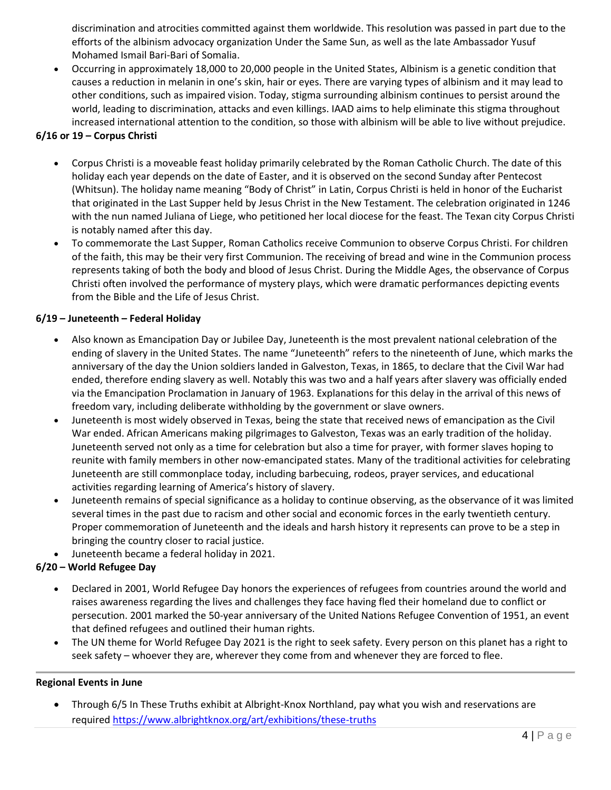discrimination and atrocities committed against them worldwide. This resolution was passed in part due to the efforts of the albinism advocacy organization Under the Same Sun, as well as the late Ambassador Yusuf Mohamed Ismail Bari-Bari of Somalia.

 Occurring in approximately 18,000 to 20,000 people in the United States, Albinism is a genetic condition that causes a reduction in melanin in one's skin, hair or eyes. There are varying types of albinism and it may lead to other conditions, such as impaired vision. Today, stigma surrounding albinism continues to persist around the world, leading to discrimination, attacks and even killings. IAAD aims to help eliminate this stigma throughout increased international attention to the condition, so those with albinism will be able to live without prejudice.

# **6/16 or 19 – Corpus Christi**

- Corpus Christi is a moveable feast holiday primarily celebrated by the Roman Catholic Church. The date of this holiday each year depends on the date of Easter, and it is observed on the second Sunday after Pentecost (Whitsun). The holiday name meaning "Body of Christ" in Latin, Corpus Christi is held in honor of the Eucharist that originated in the Last Supper held by Jesus Christ in the New Testament. The celebration originated in 1246 with the nun named Juliana of Liege, who petitioned her local diocese for the feast. The Texan city Corpus Christi is notably named after this day.
- To commemorate the Last Supper, Roman Catholics receive Communion to observe Corpus Christi. For children of the faith, this may be their very first Communion. The receiving of bread and wine in the Communion process represents taking of both the body and blood of Jesus Christ. During the Middle Ages, the observance of Corpus Christi often involved the performance of mystery plays, which were dramatic performances depicting events from the Bible and the Life of Jesus Christ.

# **6/19 – Juneteenth – Federal Holiday**

- Also known as Emancipation Day or Jubilee Day, Juneteenth is the most prevalent national celebration of the ending of slavery in the United States. The name "Juneteenth" refers to the nineteenth of June, which marks the anniversary of the day the Union soldiers landed in Galveston, Texas, in 1865, to declare that the Civil War had ended, therefore ending slavery as well. Notably this was two and a half years after slavery was officially ended via the Emancipation Proclamation in January of 1963. Explanations for this delay in the arrival of this news of freedom vary, including deliberate withholding by the government or slave owners.
- Juneteenth is most widely observed in Texas, being the state that received news of emancipation as the Civil War ended. African Americans making pilgrimages to Galveston, Texas was an early tradition of the holiday. Juneteenth served not only as a time for celebration but also a time for prayer, with former slaves hoping to reunite with family members in other now-emancipated states. Many of the traditional activities for celebrating Juneteenth are still commonplace today, including barbecuing, rodeos, prayer services, and educational activities regarding learning of America's history of slavery.
- Juneteenth remains of special significance as a holiday to continue observing, as the observance of it was limited several times in the past due to racism and other social and economic forces in the early twentieth century. Proper commemoration of Juneteenth and the ideals and harsh history it represents can prove to be a step in bringing the country closer to racial justice.
- Juneteenth became a federal holiday in 2021.

# **6/20 – World Refugee Day**

- Declared in 2001, World Refugee Day honors the experiences of refugees from countries around the world and raises awareness regarding the lives and challenges they face having fled their homeland due to conflict or persecution. 2001 marked the 50-year anniversary of the United Nations Refugee Convention of 1951, an event that defined refugees and outlined their human rights.
- The UN theme for World Refugee Day 2021 is the right to seek safety. Every person on this planet has a right to seek safety – whoever they are, wherever they come from and whenever they are forced to flee.

### **Regional Events in June**

 Through 6/5 In These Truths exhibit at Albright-Knox Northland, pay what you wish and reservations are required<https://www.albrightknox.org/art/exhibitions/these-truths>